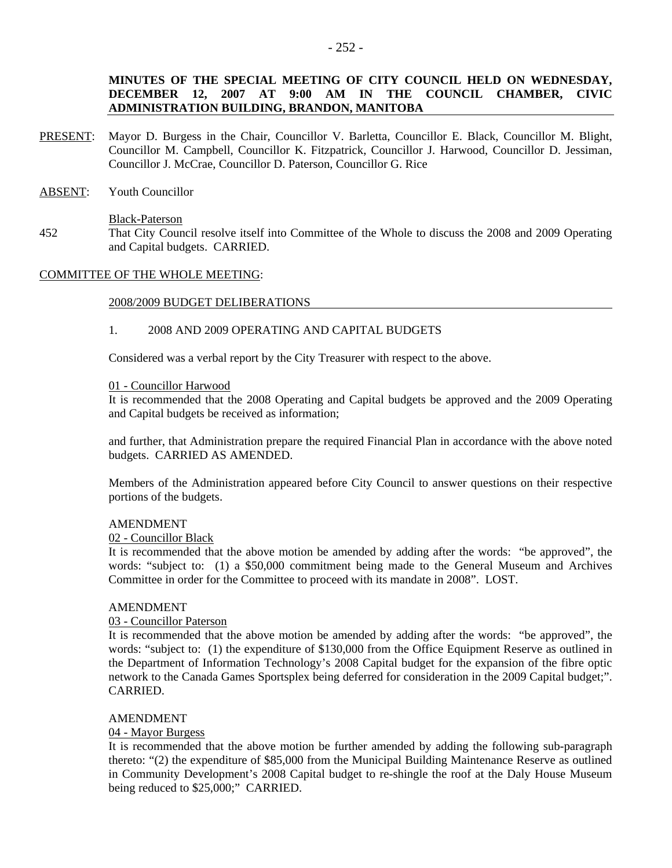# **MINUTES OF THE SPECIAL MEETING OF CITY COUNCIL HELD ON WEDNESDAY, DECEMBER 12, 2007 AT 9:00 AM IN THE COUNCIL CHAMBER, CIVIC ADMINISTRATION BUILDING, BRANDON, MANITOBA**

- PRESENT: Mayor D. Burgess in the Chair, Councillor V. Barletta, Councillor E. Black, Councillor M. Blight, Councillor M. Campbell, Councillor K. Fitzpatrick, Councillor J. Harwood, Councillor D. Jessiman, Councillor J. McCrae, Councillor D. Paterson, Councillor G. Rice
- ABSENT: Youth Councillor

Black-Paterson

452 That City Council resolve itself into Committee of the Whole to discuss the 2008 and 2009 Operating and Capital budgets. CARRIED.

# COMMITTEE OF THE WHOLE MEETING:

### 2008/2009 BUDGET DELIBERATIONS

#### 1. 2008 AND 2009 OPERATING AND CAPITAL BUDGETS

Considered was a verbal report by the City Treasurer with respect to the above.

#### 01 - Councillor Harwood

It is recommended that the 2008 Operating and Capital budgets be approved and the 2009 Operating and Capital budgets be received as information;

and further, that Administration prepare the required Financial Plan in accordance with the above noted budgets. CARRIED AS AMENDED.

Members of the Administration appeared before City Council to answer questions on their respective portions of the budgets.

### AMENDMENT

02 - Councillor Black

It is recommended that the above motion be amended by adding after the words: "be approved", the words: "subject to: (1) a \$50,000 commitment being made to the General Museum and Archives Committee in order for the Committee to proceed with its mandate in 2008". LOST.

#### AMENDMENT

# 03 - Councillor Paterson

It is recommended that the above motion be amended by adding after the words: "be approved", the words: "subject to: (1) the expenditure of \$130,000 from the Office Equipment Reserve as outlined in the Department of Information Technology's 2008 Capital budget for the expansion of the fibre optic network to the Canada Games Sportsplex being deferred for consideration in the 2009 Capital budget;". CARRIED.

### AMENDMENT

### 04 - Mayor Burgess

It is recommended that the above motion be further amended by adding the following sub-paragraph thereto: "(2) the expenditure of \$85,000 from the Municipal Building Maintenance Reserve as outlined in Community Development's 2008 Capital budget to re-shingle the roof at the Daly House Museum being reduced to \$25,000;" CARRIED.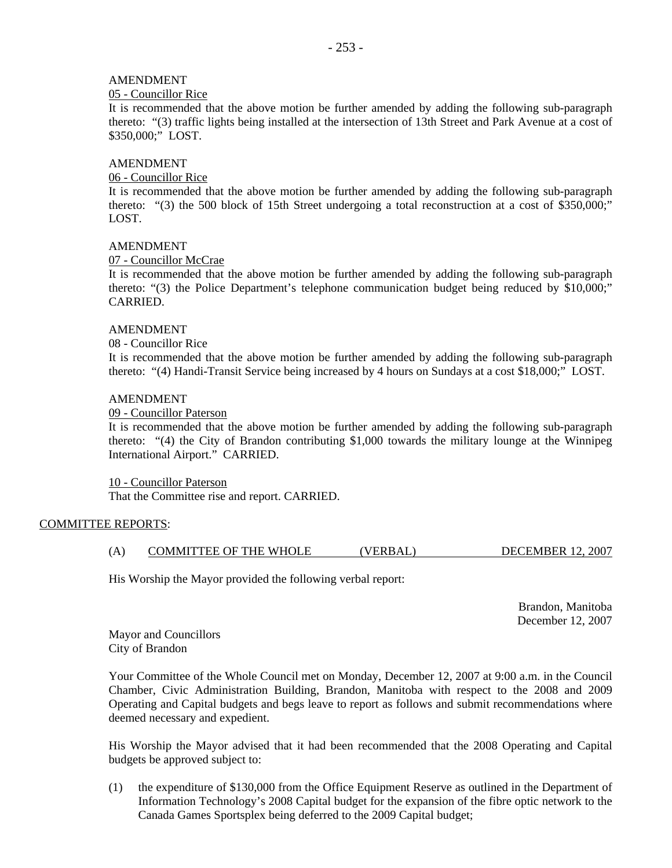# AMENDMENT

### 05 - Councillor Rice

It is recommended that the above motion be further amended by adding the following sub-paragraph thereto: "(3) traffic lights being installed at the intersection of 13th Street and Park Avenue at a cost of \$350,000;" LOST.

# AMENDMENT

# 06 - Councillor Rice

It is recommended that the above motion be further amended by adding the following sub-paragraph thereto: "(3) the 500 block of 15th Street undergoing a total reconstruction at a cost of \$350,000;" LOST.

### AMENDMENT

## 07 - Councillor McCrae

It is recommended that the above motion be further amended by adding the following sub-paragraph thereto: "(3) the Police Department's telephone communication budget being reduced by \$10,000;" CARRIED.

### AMENDMENT

08 - Councillor Rice

It is recommended that the above motion be further amended by adding the following sub-paragraph thereto: "(4) Handi-Transit Service being increased by 4 hours on Sundays at a cost \$18,000;" LOST.

## AMENDMENT

## 09 - Councillor Paterson

It is recommended that the above motion be further amended by adding the following sub-paragraph thereto: "(4) the City of Brandon contributing \$1,000 towards the military lounge at the Winnipeg International Airport." CARRIED.

10 - Councillor Paterson That the Committee rise and report. CARRIED.

# COMMITTEE REPORTS:

(A) COMMITTEE OF THE WHOLE (VERBAL) DECEMBER 12, 2007

His Worship the Mayor provided the following verbal report:

 Brandon, Manitoba December 12, 2007

Mayor and Councillors City of Brandon

Your Committee of the Whole Council met on Monday, December 12, 2007 at 9:00 a.m. in the Council Chamber, Civic Administration Building, Brandon, Manitoba with respect to the 2008 and 2009 Operating and Capital budgets and begs leave to report as follows and submit recommendations where deemed necessary and expedient.

His Worship the Mayor advised that it had been recommended that the 2008 Operating and Capital budgets be approved subject to:

(1) the expenditure of \$130,000 from the Office Equipment Reserve as outlined in the Department of Information Technology's 2008 Capital budget for the expansion of the fibre optic network to the Canada Games Sportsplex being deferred to the 2009 Capital budget;